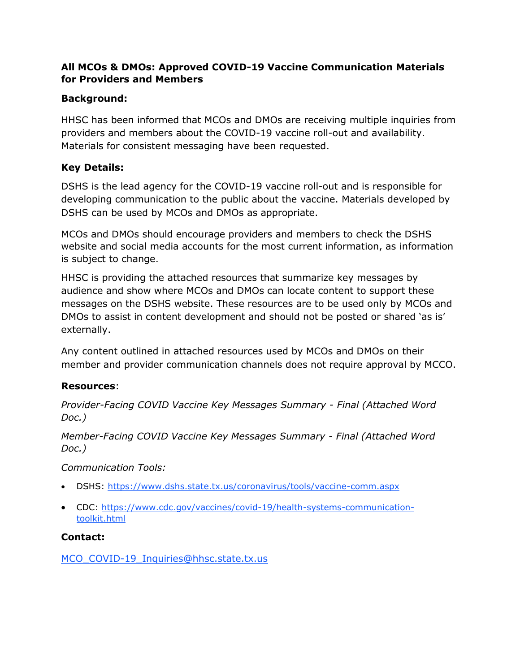## **All MCOs & DMOs: Approved COVID-19 Vaccine Communication Materials for Providers and Members**

## **Background:**

HHSC has been informed that MCOs and DMOs are receiving multiple inquiries from providers and members about the COVID-19 vaccine roll-out and availability. Materials for consistent messaging have been requested.

# **Key Details:**

DSHS is the lead agency for the COVID-19 vaccine roll-out and is responsible for developing communication to the public about the vaccine. Materials developed by DSHS can be used by MCOs and DMOs as appropriate.

MCOs and DMOs should encourage providers and members to check the DSHS website and social media accounts for the most current information, as information is subject to change.

HHSC is providing the attached resources that summarize key messages by audience and show where MCOs and DMOs can locate content to support these messages on the DSHS website. These resources are to be used only by MCOs and DMOs to assist in content development and should not be posted or shared 'as is' externally.

Any content outlined in attached resources used by MCOs and DMOs on their member and provider communication channels does not require approval by MCCO.

## **Resources**:

*Provider-Facing COVID Vaccine Key Messages Summary - Final (Attached Word Doc.)*

*Member-Facing COVID Vaccine Key Messages Summary - Final (Attached Word Doc.)*

*Communication Tools:*

- DSHS:<https://www.dshs.state.tx.us/coronavirus/tools/vaccine-comm.aspx>
- CDC: [https://www.cdc.gov/vaccines/covid-19/health-systems-communication](https://www.cdc.gov/vaccines/covid-19/health-systems-communication-toolkit.html)[toolkit.html](https://www.cdc.gov/vaccines/covid-19/health-systems-communication-toolkit.html)

# **Contact:**

[MCO\\_COVID-19\\_Inquiries@hhsc.state.tx.us](mailto:MCO_COVID-19_Inquiries@hhsc.state.tx.us)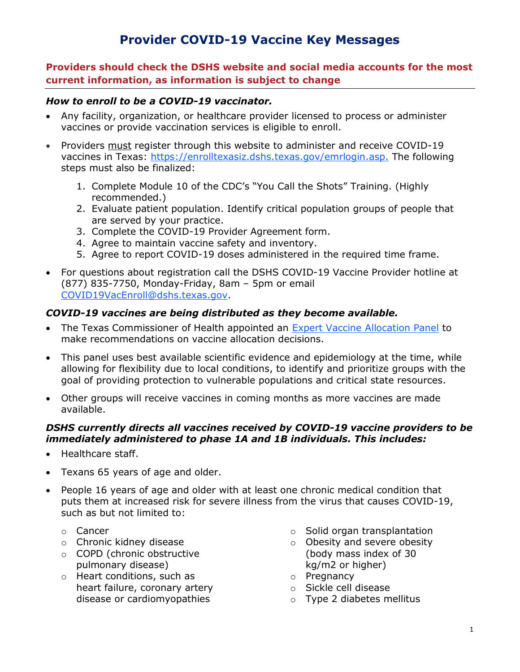# Provider COVID-19 Vaccine Key Messages

Providers should check the DSHS website and social media accounts for the most current information, as information is subject to change

#### How to enroll to be a COVID-19 vaccinator.

- Any facility, organization, or healthcare provider licensed to process or administer vaccines or provide vaccination services is eligible to enroll.
- Providers must register through this website to administer and receive COVID-19 vaccines in Texas: https://enrolltexasiz.dshs.texas.gov/emrlogin.asp. The following steps must also be finalized:
	- 1. Complete Module 10 of the CDC's "You Call the Shots" Training. (Highly recommended.)
	- 2. Evaluate patient population. Identify critical population groups of people that are served by your practice.
	- 3. Complete the COVID-19 Provider Agreement form.
	- 4. Agree to maintain vaccine safety and inventory.
	- 5. Agree to report COVID-19 doses administered in the required time frame.
- For questions about registration call the DSHS COVID-19 Vaccine Provider hotline at (877) 835-7750, Monday-Friday, 8am – 5pm or email COVID19VacEnroll@dshs.texas.gov.

#### COVID-19 vaccines are being distributed as they become available.

- The Texas Commissioner of Health appointed an Expert Vaccine Allocation Panel to make recommendations on vaccine allocation decisions.
- This panel uses best available scientific evidence and epidemiology at the time, while allowing for flexibility due to local conditions, to identify and prioritize groups with the goal of providing protection to vulnerable populations and critical state resources.
- Other groups will receive vaccines in coming months as more vaccines are made available.

#### DSHS currently directs all vaccines received by COVID-19 vaccine providers to be immediately administered to phase 1A and 1B individuals. This includes:

- Healthcare staff.
- Texans 65 years of age and older.
- People 16 years of age and older with at least one chronic medical condition that puts them at increased risk for severe illness from the virus that causes COVID-19, such as but not limited to:
	- o Cancer
	- o Chronic kidney disease
	- o COPD (chronic obstructive pulmonary disease)
	- o Heart conditions, such as heart failure, coronary artery disease or cardiomyopathies
- o Solid organ transplantation
- o Obesity and severe obesity (body mass index of 30 kg/m2 or higher)
- o Pregnancy
- o Sickle cell disease
- o Type 2 diabetes mellitus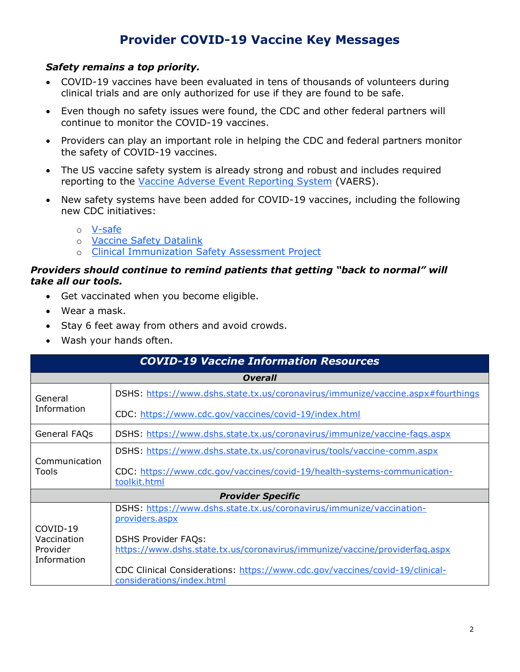# Provider COVID-19 Vaccine Key Messages

#### Safety remains a top priority.

- COVID-19 vaccines have been evaluated in tens of thousands of volunteers during clinical trials and are only authorized for use if they are found to be safe.
- Even though no safety issues were found, the CDC and other federal partners will continue to monitor the COVID-19 vaccines.
- Providers can play an important role in helping the CDC and federal partners monitor the safety of COVID-19 vaccines.
- The US vaccine safety system is already strong and robust and includes required reporting to the Vaccine Adverse Event Reporting System (VAERS).
- New safety systems have been added for COVID-19 vaccines, including the following new CDC initiatives:
	- o V-safe
	- o Vaccine Safety Datalink
	- o Clinical Immunization Safety Assessment Project

#### Providers should continue to remind patients that getting "back to normal" will take all our tools.

- Get vaccinated when you become eligible.
- Wear a mask.
- Stay 6 feet away from others and avoid crowds.
- Wash your hands often.

| <b>COVID-19 Vaccine Information Resources</b> |                                                                                                           |  |
|-----------------------------------------------|-----------------------------------------------------------------------------------------------------------|--|
| <b>Overall</b>                                |                                                                                                           |  |
| General<br>Information                        | DSHS: https://www.dshs.state.tx.us/coronavirus/immunize/vaccine.aspx#fourthings                           |  |
|                                               | CDC: https://www.cdc.gov/vaccines/covid-19/index.html                                                     |  |
| General FAQs                                  | DSHS: https://www.dshs.state.tx.us/coronavirus/immunize/vaccine-fags.aspx                                 |  |
| Communication<br>Tools                        | DSHS: https://www.dshs.state.tx.us/coronavirus/tools/vaccine-comm.aspx                                    |  |
|                                               | CDC: https://www.cdc.gov/vaccines/covid-19/health-systems-communication-<br>toolkit.html                  |  |
| <b>Provider Specific</b>                      |                                                                                                           |  |
| COVID-19                                      | DSHS: https://www.dshs.state.tx.us/coronavirus/immunize/vaccination-<br>providers.aspx                    |  |
| Vaccination                                   | <b>DSHS Provider FAQs:</b>                                                                                |  |
| Provider<br>Information                       | https://www.dshs.state.tx.us/coronavirus/immunize/vaccine/providerfag.aspx                                |  |
|                                               | CDC Clinical Considerations: https://www.cdc.gov/vaccines/covid-19/clinical-<br>considerations/index.html |  |